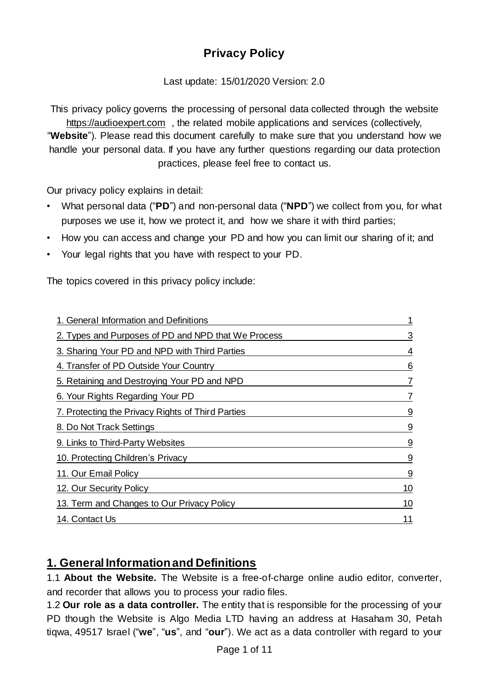# **Privacy Policy**

Last update: 15/01/2020 Version: 2.0

This privacy policy governs the processing of personal data collected through the website [https://audioexpert.com](https://audioexpert.com/) , the related mobile applications and services (collectively, "**Website**"). Please read this document carefully to make sure that you understand how we handle your personal data. If you have any further questions regarding our data protection practices, please feel free to contact us.

Our privacy policy explains in detail:

- What personal data ("**PD**") and non-personal data ("**NPD**") we collect from you, for what purposes we use it, how we protect it, and how we share it with third parties;
- How you can access and change your PD and how you can limit our sharing of it; and
- Your legal rights that you have with respect to your PD.

The topics covered in this privacy policy include:

| 1. General Information and Definitions              |                |
|-----------------------------------------------------|----------------|
| 2. Types and Purposes of PD and NPD that We Process | 3              |
| 3. Sharing Your PD and NPD with Third Parties       | 4              |
| 4. Transfer of PD Outside Your Country              | 6              |
| 5. Retaining and Destroying Your PD and NPD         | $\overline{7}$ |
| 6. Your Rights Regarding Your PD                    | 7              |
| 7. Protecting the Privacy Rights of Third Parties   | 9              |
| 8. Do Not Track Settings                            | 9              |
| 9. Links to Third-Party Websites                    | 9              |
| 10. Protecting Children's Privacy                   | 9              |
| 11. Our Email Policy                                | 9              |
| 12. Our Security Policy                             | 10             |
| 13. Term and Changes to Our Privacy Policy          | 10             |
| 14. Contact Us                                      | 11             |

## **1. General Informationand Definitions**

1.1 **About the Website.** The Website is a free-of-charge online audio editor, converter, and recorder that allows you to process your radio files.

1.2 **Our role as a data controller.** The entity that is responsible for the processing of your PD though the Website is Algo Media LTD having an address at Hasaham 30, Petah tiqwa, 49517 Israel ("**we**", "**us**", and "**our**"). We act as a data controller with regard to your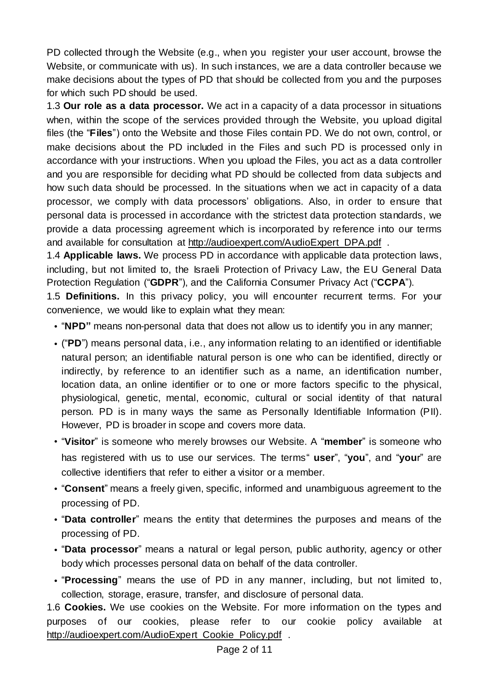PD collected through the Website (e.g., when you register your user account, browse the Website, or communicate with us). In such instances, we are a data controller because we make decisions about the types of PD that should be collected from you and the purposes for which such PD should be used.

1.3 **Our role as a data processor.** We act in a capacity of a data processor in situations when, within the scope of the services provided through the Website, you upload digital files (the "**Files**") onto the Website and those Files contain PD. We do not own, control, or make decisions about the PD included in the Files and such PD is processed only in accordance with your instructions. When you upload the Files, you act as a data controller and you are responsible for deciding what PD should be collected from data subjects and how such data should be processed. In the situations when we act in capacity of a data processor, we comply with data processors" obligations. Also, in order to ensure that personal data is processed in accordance with the strictest data protection standards, we provide a data processing agreement which is incorporated by reference into our terms and available for consultation at [http://audioexpert.com/AudioExpert\\_DPA.pdf](http://audioexpert.com/AudioExpert_DPA.pdf) .

1.4 **Applicable laws.** We process PD in accordance with applicable data protection laws, including, but not limited to, the Israeli Protection of Privacy Law, the EU General Data Protection Regulation ("**GDPR**"), and the California Consumer Privacy Act ("**CCPA**").

1.5 **Definitions.** In this privacy policy, you will encounter recurrent terms. For your convenience, we would like to explain what they mean:

- "**NPD"** means non-personal data that does not allow us to identify you in any manner;
- ("**PD**") means personal data, i.e., any information relating to an identified or identifiable natural person; an identifiable natural person is one who can be identified, directly or indirectly, by reference to an identifier such as a name, an identification number, location data, an online identifier or to one or more factors specific to the physical, physiological, genetic, mental, economic, cultural or social identity of that natural person. PD is in many ways the same as Personally Identifiable Information (PII). However, PD is broader in scope and covers more data.
- "**Visitor**" is someone who merely browses our Website. A "**member**" is someone who has registered with us to use our services. The terms" **user**", "**you**", and "**you**r" are collective identifiers that refer to either a visitor or a member.
- "**Consent**" means a freely given, specific, informed and unambiguous agreement to the processing of PD.
- "**Data controller**" means the entity that determines the purposes and means of the processing of PD.
- "**Data processor**" means a natural or legal person, public authority, agency or other body which processes personal data on behalf of the data controller.
- "**Processing**" means the use of PD in any manner, including, but not limited to, collection, storage, erasure, transfer, and disclosure of personal data.

1.6 **Cookies.** We use cookies on the Website. For more information on the types and purposes of our cookies, please refer to our cookie policy available at [http://audioexpert.com/AudioExpert\\_Cookie\\_Policy.pdf](http://audioexpert.com/AudioExpert_Cookie_Policy.pdf) .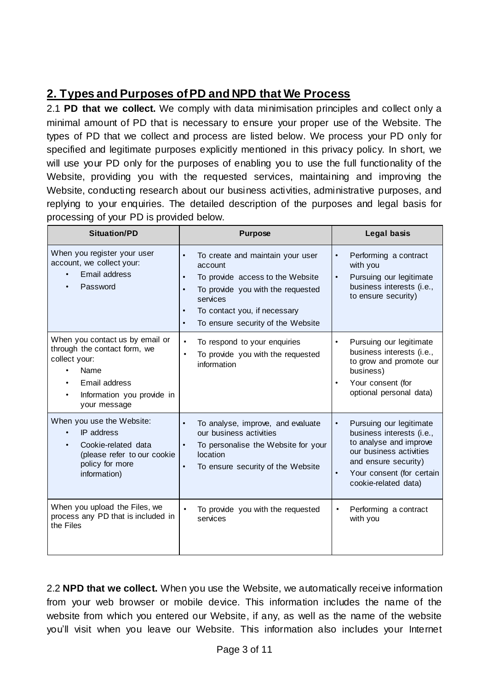## **2. Types and Purposes ofPD and NPD that We Process**

2.1 **PD that we collect.** We comply with data minimisation principles and collect only a minimal amount of PD that is necessary to ensure your proper use of the Website. The types of PD that we collect and process are listed below. We process your PD only for specified and legitimate purposes explicitly mentioned in this privacy policy. In short, we will use your PD only for the purposes of enabling you to use the full functionality of the Website, providing you with the requested services, maintaining and improving the Website, conducting research about our business activities, administrative purposes, and replying to your enquiries. The detailed description of the purposes and legal basis for processing of your PD is provided below.

| <b>Situation/PD</b>                                                                                                                                                  | <b>Purpose</b>                                                                                                                                                                                                                                                         | <b>Legal basis</b>                                                                                                                                                                                               |
|----------------------------------------------------------------------------------------------------------------------------------------------------------------------|------------------------------------------------------------------------------------------------------------------------------------------------------------------------------------------------------------------------------------------------------------------------|------------------------------------------------------------------------------------------------------------------------------------------------------------------------------------------------------------------|
| When you register your user<br>account, we collect your:<br>Email address<br>Password                                                                                | $\bullet$<br>To create and maintain your user<br>account<br>To provide access to the Website<br>$\bullet$<br>To provide you with the requested<br>$\bullet$<br>services<br>To contact you, if necessary<br>$\bullet$<br>To ensure security of the Website<br>$\bullet$ | Performing a contract<br>$\bullet$<br>with you<br>Pursuing our legitimate<br>$\bullet$<br>business interests (i.e.,<br>to ensure security)                                                                       |
| When you contact us by email or<br>through the contact form, we<br>collect your:<br>Name<br>Email address<br>Information you provide in<br>$\bullet$<br>your message | To respond to your enquiries<br>$\blacksquare$<br>To provide you with the requested<br>$\blacksquare$<br>information                                                                                                                                                   | Pursuing our legitimate<br>$\bullet$<br>business interests (i.e.,<br>to grow and promote our<br>business)<br>Your consent (for<br>$\bullet$<br>optional personal data)                                           |
| When you use the Website:<br>IP address<br>Cookie-related data<br>(please refer to our cookie<br>policy for more<br>information)                                     | To analyse, improve, and evaluate<br>our business activities<br>To personalise the Website for your<br>$\bullet$<br>location<br>To ensure security of the Website<br>$\bullet$                                                                                         | Pursuing our legitimate<br>$\bullet$<br>business interests (i.e.,<br>to analyse and improve<br>our business activities<br>and ensure security)<br>Your consent (for certain<br>$\bullet$<br>cookie-related data) |
| When you upload the Files, we<br>process any PD that is included in<br>the Files                                                                                     | To provide you with the requested<br>$\blacksquare$<br>services                                                                                                                                                                                                        | Performing a contract<br>٠<br>with you                                                                                                                                                                           |

2.2 **NPD that we collect.** When you use the Website, we automatically receive information from your web browser or mobile device. This information includes the name of the website from which you entered our Website, if any, as well as the name of the website you"ll visit when you leave our Website. This information also includes your Internet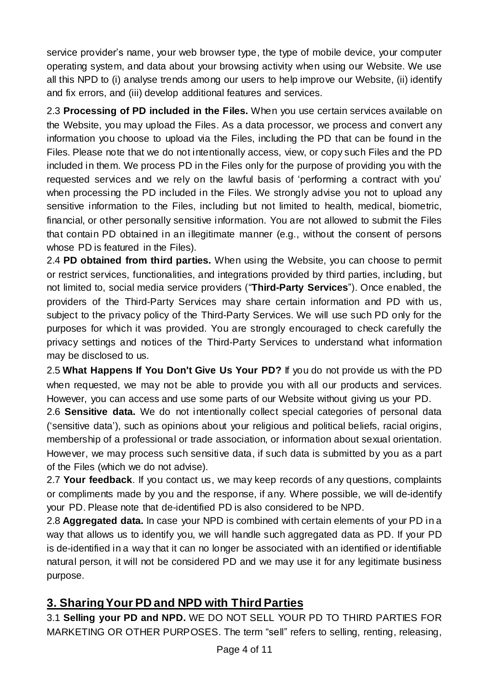service provider's name, your web browser type, the type of mobile device, your computer operating system, and data about your browsing activity when using our Website. We use all this NPD to (i) analyse trends among our users to help improve our Website, (ii) identify and fix errors, and (iii) develop additional features and services.

2.3 **Processing of PD included in the Files.** When you use certain services available on the Website, you may upload the Files. As a data processor, we process and convert any information you choose to upload via the Files, including the PD that can be found in the Files. Please note that we do not intentionally access, view, or copy such Files and the PD included in them. We process PD in the Files only for the purpose of providing you with the requested services and we rely on the lawful basis of "performing a contract with you" when processing the PD included in the Files. We strongly advise you not to upload any sensitive information to the Files, including but not limited to health, medical, biometric, financial, or other personally sensitive information. You are not allowed to submit the Files that contain PD obtained in an illegitimate manner (e.g., without the consent of persons whose PD is featured in the Files).

2.4 **PD obtained from third parties.** When using the Website, you can choose to permit or restrict services, functionalities, and integrations provided by third parties, including, but not limited to, social media service providers ("**Third-Party Services**"). Once enabled, the providers of the Third-Party Services may share certain information and PD with us, subject to the privacy policy of the Third-Party Services. We will use such PD only for the purposes for which it was provided. You are strongly encouraged to check carefully the privacy settings and notices of the Third-Party Services to understand what information may be disclosed to us.

2.5 **What Happens If You Don**'**t Give Us Your PD?** If you do not provide us with the PD when requested, we may not be able to provide you with all our products and services. However, you can access and use some parts of our Website without giving us your PD.

2.6 **Sensitive data.** We do not intentionally collect special categories of personal data ("sensitive data"), such as opinions about your religious and political beliefs, racial origins, membership of a professional or trade association, or information about sexual orientation. However, we may process such sensitive data, if such data is submitted by you as a part of the Files (which we do not advise).

2.7 **Your feedback**. If you contact us, we may keep records of any questions, complaints or compliments made by you and the response, if any. Where possible, we will de-identify your PD. Please note that de-identified PD is also considered to be NPD.

2.8 **Aggregated data.** In case your NPD is combined with certain elements of your PD in a way that allows us to identify you, we will handle such aggregated data as PD. If your PD is de-identified in a way that it can no longer be associated with an identified or identifiable natural person, it will not be considered PD and we may use it for any legitimate business purpose.

## **3. SharingYour PD and NPD with Third Parties**

3.1 **Selling your PD and NPD.** WE DO NOT SELL YOUR PD TO THIRD PARTIES FOR MARKETING OR OTHER PURPOSES. The term "sell" refers to selling, renting, releasing,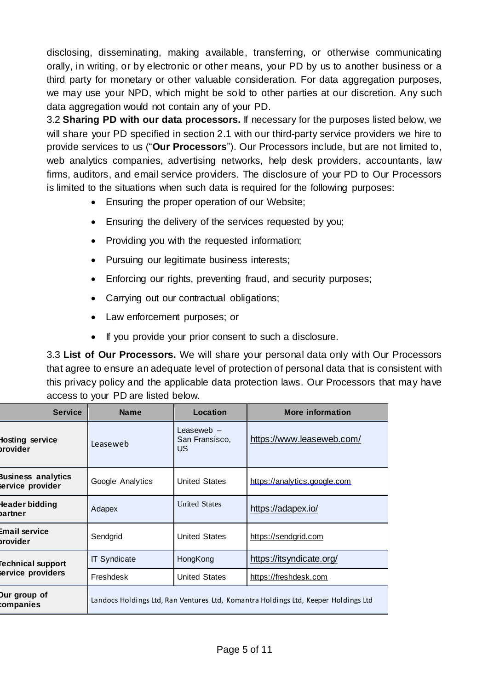disclosing, disseminating, making available, transferring, or otherwise communicating orally, in writing, or by electronic or other means, your PD by us to another business or a third party for monetary or other valuable consideration. For data aggregation purposes, we may use your NPD, which might be sold to other parties at our discretion. Any such data aggregation would not contain any of your PD.

3.2 **Sharing PD with our data processors.** If necessary for the purposes listed below, we will share your PD specified in section 2.1 with our third-party service providers we hire to provide services to us ("**Our Processors**"). Our Processors include, but are not limited to, web analytics companies, advertising networks, help desk providers, accountants, law firms, auditors, and email service providers. The disclosure of your PD to Our Processors is limited to the situations when such data is required for the following purposes:

- Ensuring the proper operation of our Website;
- Ensuring the delivery of the services requested by you;
- Providing you with the requested information;
- Pursuing our legitimate business interests;
- Enforcing our rights, preventing fraud, and security purposes;
- Carrying out our contractual obligations;
- Law enforcement purposes; or
- If you provide your prior consent to such a disclosure.

3.3 **List of Our Processors.** We will share your personal data only with Our Processors that agree to ensure an adequate level of protection of personal data that is consistent with this privacy policy and the applicable data protection laws. Our Processors that may have access to your PD are listed below.

| <b>Service</b>                                | <b>Name</b>                                                                        | Location                             | <b>More information</b>      |
|-----------------------------------------------|------------------------------------------------------------------------------------|--------------------------------------|------------------------------|
| losting service<br>brovider                   | Leaseweb                                                                           | Leaseweb $-$<br>San Fransisco,<br>US | https://www.leaseweb.com/    |
| <b>Business analytics</b><br>service provider | Google Analytics                                                                   | <b>United States</b>                 | https://analytics.google.com |
| Header bidding<br>bartner                     | Adapex                                                                             | <b>United States</b>                 | https://adapex.io/           |
| Email service<br>brovider                     | Sendgrid                                                                           | <b>United States</b>                 | https://sendgrid.com         |
| <b>Fechnical support</b>                      | <b>IT Syndicate</b>                                                                | HongKong                             | https://itsyndicate.org/     |
| service providers                             | Freshdesk                                                                          | <b>United States</b>                 | https://freshdesk.com        |
| Dur group of<br>companies                     | Landocs Holdings Ltd, Ran Ventures Ltd, Komantra Holdings Ltd, Keeper Holdings Ltd |                                      |                              |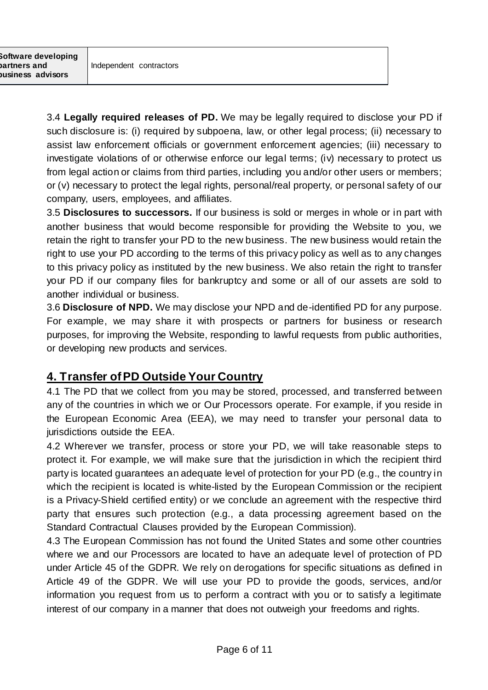3.4 **Legally required releases of PD.** We may be legally required to disclose your PD if such disclosure is: (i) required by subpoena, law, or other legal process; (ii) necessary to assist law enforcement officials or government enforcement agencies; (iii) necessary to investigate violations of or otherwise enforce our legal terms; (iv) necessary to protect us from legal action or claims from third parties, including you and/or other users or members; or (v) necessary to protect the legal rights, personal/real property, or personal safety of our company, users, employees, and affiliates.

3.5 **Disclosures to successors.** If our business is sold or merges in whole or in part with another business that would become responsible for providing the Website to you, we retain the right to transfer your PD to the new business. The new business would retain the right to use your PD according to the terms of this privacy policy as well as to any changes to this privacy policy as instituted by the new business. We also retain the right to transfer your PD if our company files for bankruptcy and some or all of our assets are sold to another individual or business.

3.6 **Disclosure of NPD.** We may disclose your NPD and de-identified PD for any purpose. For example, we may share it with prospects or partners for business or research purposes, for improving the Website, responding to lawful requests from public authorities, or developing new products and services.

## **4. Transfer ofPD Outside Your Country**

4.1 The PD that we collect from you may be stored, processed, and transferred between any of the countries in which we or Our Processors operate. For example, if you reside in the European Economic Area (EEA), we may need to transfer your personal data to jurisdictions outside the EEA.

4.2 Wherever we transfer, process or store your PD, we will take reasonable steps to protect it. For example, we will make sure that the jurisdiction in which the recipient third party is located guarantees an adequate level of protection for your PD (e.g., the country in which the recipient is located is white-listed by the European Commission or the recipient is a Privacy-Shield certified entity) or we conclude an agreement with the respective third party that ensures such protection (e.g., a data processing agreement based on the Standard Contractual Clauses provided by the European Commission).

4.3 The European Commission has not found the United States and some other countries where we and our Processors are located to have an adequate level of protection of PD under Article 45 of the GDPR. We rely on derogations for specific situations as defined in Article 49 of the GDPR. We will use your PD to provide the goods, services, and/or information you request from us to perform a contract with you or to satisfy a legitimate interest of our company in a manner that does not outweigh your freedoms and rights.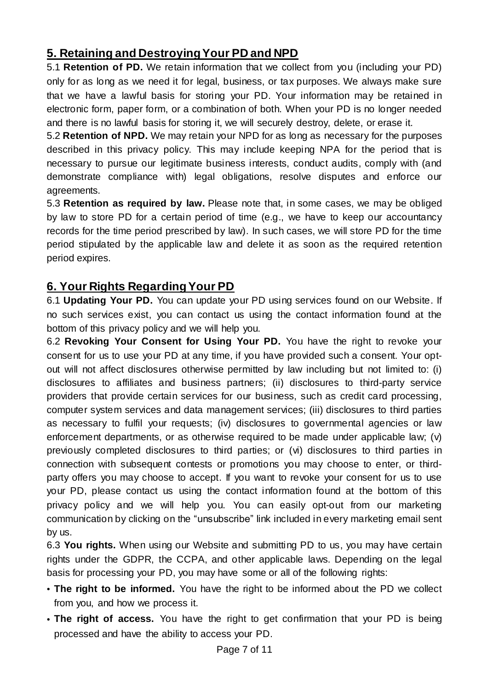## **5. Retaining and DestroyingYour PD and NPD**

5.1 **Retention of PD.** We retain information that we collect from you (including your PD) only for as long as we need it for legal, business, or tax purposes. We always make sure that we have a lawful basis for storing your PD. Your information may be retained in electronic form, paper form, or a combination of both. When your PD is no longer needed and there is no lawful basis for storing it, we will securely destroy, delete, or erase it.

5.2 **Retention of NPD.** We may retain your NPD for as long as necessary for the purposes described in this privacy policy. This may include keeping NPA for the period that is necessary to pursue our legitimate business interests, conduct audits, comply with (and demonstrate compliance with) legal obligations, resolve disputes and enforce our agreements.

5.3 **Retention as required by law.** Please note that, in some cases, we may be obliged by law to store PD for a certain period of time (e.g., we have to keep our accountancy records for the time period prescribed by law). In such cases, we will store PD for the time period stipulated by the applicable law and delete it as soon as the required retention period expires.

## **6. Your Rights RegardingYour PD**

6.1 **Updating Your PD.** You can update your PD using services found on our Website. If no such services exist, you can contact us using the contact information found at the bottom of this privacy policy and we will help you.

6.2 **Revoking Your Consent for Using Your PD.** You have the right to revoke your consent for us to use your PD at any time, if you have provided such a consent. Your optout will not affect disclosures otherwise permitted by law including but not limited to: (i) disclosures to affiliates and business partners; (ii) disclosures to third-party service providers that provide certain services for our business, such as credit card processing, computer system services and data management services; (iii) disclosures to third parties as necessary to fulfil your requests; (iv) disclosures to governmental agencies or law enforcement departments, or as otherwise required to be made under applicable law; (v) previously completed disclosures to third parties; or (vi) disclosures to third parties in connection with subsequent contests or promotions you may choose to enter, or thirdparty offers you may choose to accept. If you want to revoke your consent for us to use your PD, please contact us using the contact information found at the bottom of this privacy policy and we will help you. You can easily opt-out from our marketing communication by clicking on the "unsubscribe" link included in every marketing email sent by us.

6.3 **You rights.** When using our Website and submitting PD to us, you may have certain rights under the GDPR, the CCPA, and other applicable laws. Depending on the legal basis for processing your PD, you may have some or all of the following rights:

- **The right to be informed.** You have the right to be informed about the PD we collect from you, and how we process it.
- **The right of access.** You have the right to get confirmation that your PD is being processed and have the ability to access your PD.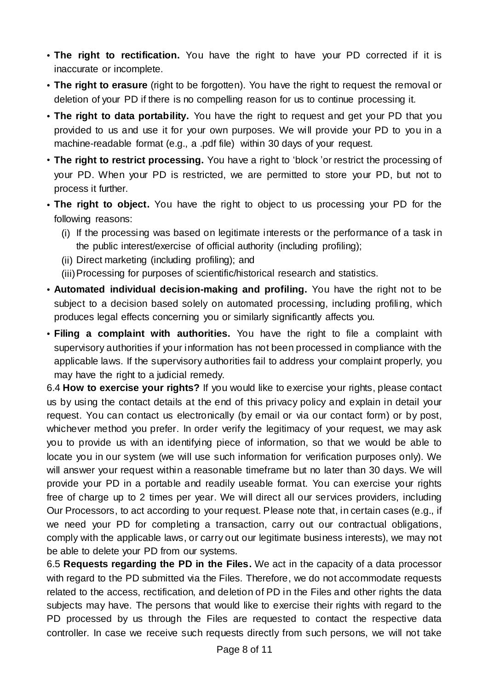- **The right to rectification.** You have the right to have your PD corrected if it is inaccurate or incomplete.
- **The right to erasure** (right to be forgotten). You have the right to request the removal or deletion of your PD if there is no compelling reason for us to continue processing it.
- **The right to data portability.** You have the right to request and get your PD that you provided to us and use it for your own purposes. We will provide your PD to you in a machine-readable format (e.g., a .pdf file) within 30 days of your request.
- **The right to restrict processing.** You have a right to 'block 'or restrict the processing of your PD. When your PD is restricted, we are permitted to store your PD, but not to process it further.
- **The right to object.** You have the right to object to us processing your PD for the following reasons:
	- (i) If the processing was based on legitimate interests or the performance of a task in the public interest/exercise of official authority (including profiling);
	- (ii) Direct marketing (including profiling); and
	- (iii)Processing for purposes of scientific/historical research and statistics.
- **Automated individual decision-making and profiling.** You have the right not to be subject to a decision based solely on automated processing, including profiling, which produces legal effects concerning you or similarly significantly affects you.
- **Filing a complaint with authorities.** You have the right to file a complaint with supervisory authorities if your information has not been processed in compliance with the applicable laws. If the supervisory authorities fail to address your complaint properly, you may have the right to a judicial remedy.

6.4 **How to exercise your rights?** If you would like to exercise your rights, please contact us by using the contact details at the end of this privacy policy and explain in detail your request. You can contact us electronically (by email or via our contact form) or by post, whichever method you prefer. In order verify the legitimacy of your request, we may ask you to provide us with an identifying piece of information, so that we would be able to locate you in our system (we will use such information for verification purposes only). We will answer your request within a reasonable timeframe but no later than 30 days. We will provide your PD in a portable and readily useable format. You can exercise your rights free of charge up to 2 times per year. We will direct all our services providers, including Our Processors, to act according to your request. Please note that, in certain cases (e.g., if we need your PD for completing a transaction, carry out our contractual obligations, comply with the applicable laws, or carry out our legitimate business interests), we may not be able to delete your PD from our systems.

6.5 **Requests regarding the PD in the Files.** We act in the capacity of a data processor with regard to the PD submitted via the Files. Therefore, we do not accommodate requests related to the access, rectification, and deletion of PD in the Files and other rights the data subjects may have. The persons that would like to exercise their rights with regard to the PD processed by us through the Files are requested to contact the respective data controller. In case we receive such requests directly from such persons, we will not take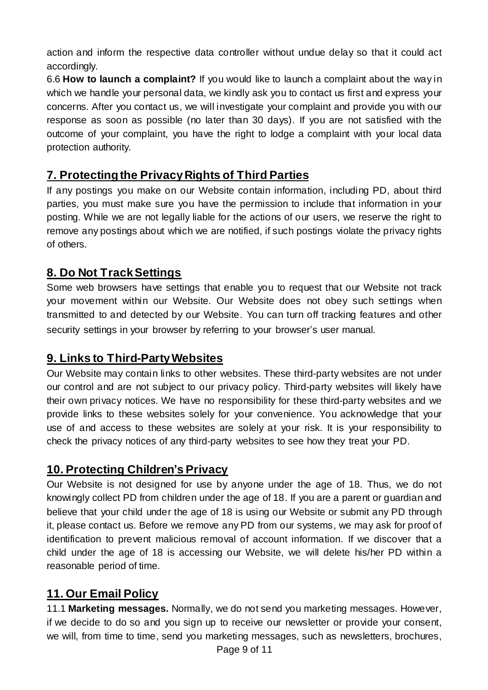action and inform the respective data controller without undue delay so that it could act accordingly.

6.6 **How to launch a complaint?** If you would like to launch a complaint about the way in which we handle your personal data, we kindly ask you to contact us first and express your concerns. After you contact us, we will investigate your complaint and provide you with our response as soon as possible (no later than 30 days). If you are not satisfied with the outcome of your complaint, you have the right to lodge a complaint with your local data protection authority.

## **7. Protectingthe PrivacyRights of Third Parties**

If any postings you make on our Website contain information, including PD, about third parties, you must make sure you have the permission to include that information in your posting. While we are not legally liable for the actions of our users, we reserve the right to remove any postings about which we are notified, if such postings violate the privacy rights of others.

#### **8. Do Not TrackSettings**

Some web browsers have settings that enable you to request that our Website not track your movement within our Website. Our Website does not obey such settings when transmitted to and detected by our Website. You can turn off tracking features and other security settings in your browser by referring to your browser's user manual.

#### **9. Links to Third-PartyWebsites**

Our Website may contain links to other websites. These third-party websites are not under our control and are not subject to our privacy policy. Third-party websites will likely have their own privacy notices. We have no responsibility for these third-party websites and we provide links to these websites solely for your convenience. You acknowledge that your use of and access to these websites are solely at your risk. It is your responsibility to check the privacy notices of any third-party websites to see how they treat your PD.

#### **10. Protecting Children's Privacy**

Our Website is not designed for use by anyone under the age of 18. Thus, we do not knowingly collect PD from children under the age of 18. If you are a parent or guardian and believe that your child under the age of 18 is using our Website or submit any PD through it, please contact us. Before we remove any PD from our systems, we may ask for proof of identification to prevent malicious removal of account information. If we discover that a child under the age of 18 is accessing our Website, we will delete his/her PD within a reasonable period of time.

#### **11. Our Email Policy**

11.1 **Marketing messages.** Normally, we do not send you marketing messages. However, if we decide to do so and you sign up to receive our newsletter or provide your consent, we will, from time to time, send you marketing messages, such as newsletters, brochures,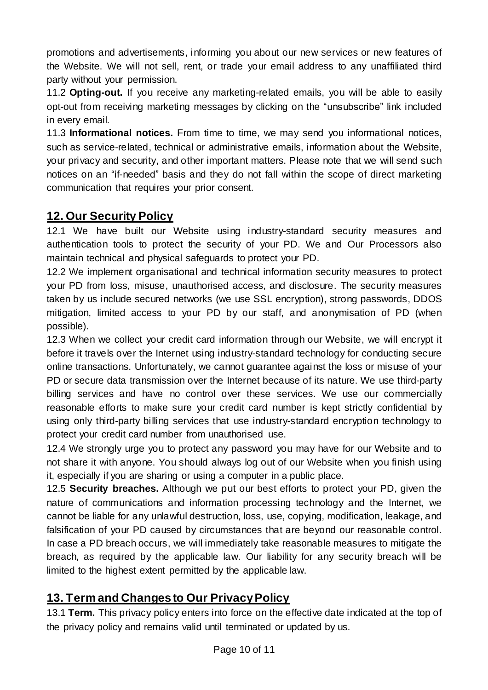promotions and advertisements, informing you about our new services or new features of the Website. We will not sell, rent, or trade your email address to any unaffiliated third party without your permission.

11.2 **Opting-out.** If you receive any marketing-related emails, you will be able to easily opt-out from receiving marketing messages by clicking on the "unsubscribe" link included in every email.

11.3 **Informational notices.** From time to time, we may send you informational notices, such as service-related, technical or administrative emails, information about the Website, your privacy and security, and other important matters. Please note that we will send such notices on an "if-needed" basis and they do not fall within the scope of direct marketing communication that requires your prior consent.

#### **12. Our Security Policy**

12.1 We have built our Website using industry-standard security measures and authentication tools to protect the security of your PD. We and Our Processors also maintain technical and physical safeguards to protect your PD.

12.2 We implement organisational and technical information security measures to protect your PD from loss, misuse, unauthorised access, and disclosure. The security measures taken by us include secured networks (we use SSL encryption), strong passwords, DDOS mitigation, limited access to your PD by our staff, and anonymisation of PD (when possible).

12.3 When we collect your credit card information through our Website, we will encrypt it before it travels over the Internet using industry-standard technology for conducting secure online transactions. Unfortunately, we cannot guarantee against the loss or misuse of your PD or secure data transmission over the Internet because of its nature. We use third-party billing services and have no control over these services. We use our commercially reasonable efforts to make sure your credit card number is kept strictly confidential by using only third-party billing services that use industry-standard encryption technology to protect your credit card number from unauthorised use.

12.4 We strongly urge you to protect any password you may have for our Website and to not share it with anyone. You should always log out of our Website when you finish using it, especially if you are sharing or using a computer in a public place.

12.5 **Security breaches.** Although we put our best efforts to protect your PD, given the nature of communications and information processing technology and the Internet, we cannot be liable for any unlawful destruction, loss, use, copying, modification, leakage, and falsification of your PD caused by circumstances that are beyond our reasonable control. In case a PD breach occurs, we will immediately take reasonable measures to mitigate the breach, as required by the applicable law. Our liability for any security breach will be limited to the highest extent permitted by the applicable law.

## **13. Term and Changesto Our PrivacyPolicy**

13.1 **Term.** This privacy policy enters into force on the effective date indicated at the top of the privacy policy and remains valid until terminated or updated by us.